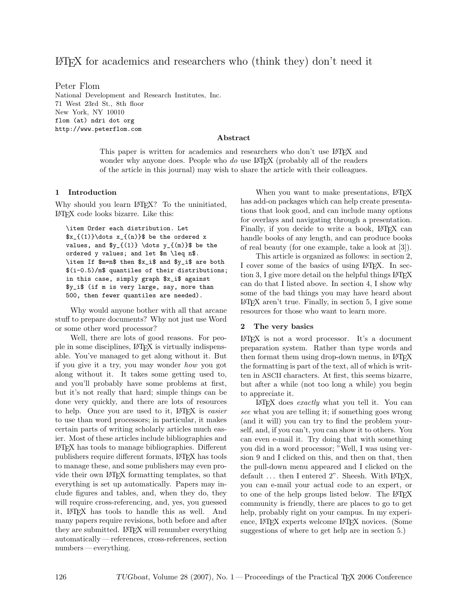# LATEX for academics and researchers who (think they) don't need it

Peter Flom National Development and Research Institutes, Inc. 71 West 23rd St., 8th floor New York, NY 10010 flom (at) ndri dot org http://www.peterflom.com

#### Abstract

This paper is written for academics and researchers who don't use LAT<sub>EX</sub> and wonder why anyone does. People who  $do$  use  $\mathbb{A}T\mathbb{F}X$  (probably all of the readers of the article in this journal) may wish to share the article with their colleagues.

#### 1 Introduction

Why should you learn LAT<sub>E</sub>X? To the uninitiated, LATEX code looks bizarre. Like this:

\item Order each distribution. Let  $x_{(1)}\dots x_{(n)}$  be the ordered x values, and  $y_{(1)} \dots y_{(m)}$  be the ordered y values; and let \$m \leq n\$. \item If \$m=n\$ then \$x\_i\$ and \$y\_i\$ are both \$(i-0.5)/m\$ quantiles of their distributions; in this case, simply graph \$x\_i\$ against \$y\_i\$ (if m is very large, say, more than 500, then fewer quantiles are needed).

Why would anyone bother with all that arcane stuff to prepare documents? Why not just use Word or some other word processor?

Well, there are lots of good reasons. For people in some disciplines, LATEX is virtually indispensable. You've managed to get along without it. But if you give it a try, you may wonder how you got along without it. It takes some getting used to, and you'll probably have some problems at first, but it's not really that hard; simple things can be done very quickly, and there are lots of resources to help. Once you are used to it, LAT<sub>F</sub>X is *easier* to use than word processors; in particular, it makes certain parts of writing scholarly articles much easier. Most of these articles include bibliographies and LATEX has tools to manage bibliographies. Different publishers require different formats, LATEX has tools to manage these, and some publishers may even provide their own LATEX formatting templates, so that everything is set up automatically. Papers may include figures and tables, and, when they do, they will require cross-referencing, and, yes, you guessed it, LATEX has tools to handle this as well. And many papers require revisions, both before and after they are submitted. IATEX will renumber everything automatically — references, cross-references, section numbers — everything.

When you want to make presentations, LAT<sub>EX</sub> has add-on packages which can help create presentations that look good, and can include many options for overlays and navigating through a presentation. Finally, if you decide to write a book, LAT<sub>EX</sub> can handle books of any length, and can produce books of real beauty (for one example, take a look at [3]).

This article is organized as follows: in section 2, I cover some of the basics of using LAT<sub>EX</sub>. In section 3, I give more detail on the helpful things LAT<sub>EX</sub> can do that I listed above. In section 4, I show why some of the bad things you may have heard about  $\Delta E[X]$  aren't true. Finally, in section 5, I give some resources for those who want to learn more.

#### 2 The very basics

LATEX is not a word processor. It's a document preparation system. Rather than type words and then format them using drop-down menus, in LAT<sub>EX</sub> the formatting is part of the text, all of which is written in ASCII characters. At first, this seems bizarre, but after a while (not too long a while) you begin to appreciate it.

LATEX does exactly what you tell it. You can see what you are telling it; if something goes wrong (and it will) you can try to find the problem yourself, and, if you can't, you can show it to others. You can even e-mail it. Try doing that with something you did in a word processor; "Well, I was using version 9 and I clicked on this, and then on that, then the pull-down menu appeared and I clicked on the default ... then I entered 2". Sheesh. With LATEX, you can e-mail your actual code to an expert, or to one of the help groups listed below. The LAT<sub>EX</sub> community is friendly, there are places to go to get help, probably right on your campus. In my experience, LATEX experts welcome LATEX novices. (Some suggestions of where to get help are in section 5.)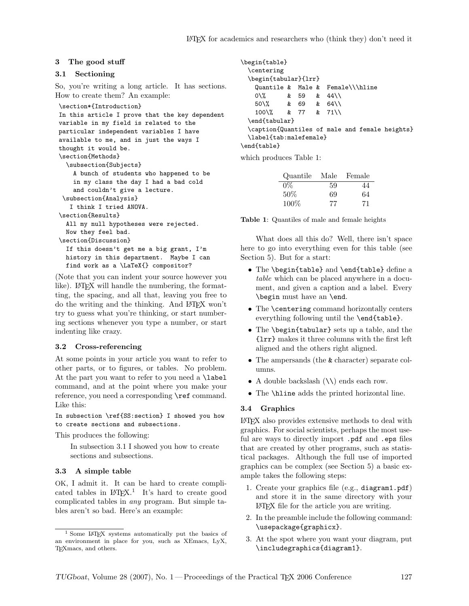#### 3 The good stuff

#### 3.1 Sectioning

So, you're writing a long article. It has sections. How to create them? An example:

```
\section*{Introduction}
In this article I prove that the key dependent
variable in my field is related to the
particular independent variables I have
available to me, and in just the ways I
thought it would be.
\section{Methods}
  \subsection{Subjects}
    A bunch of students who happened to be
    in my class the day I had a bad cold
    and couldn't give a lecture.
 \subsection{Analysis}
   I think I tried ANOVA.
\section{Results}
  All my null hypotheses were rejected.
  Now they feel bad.
\section{Discussion}
  If this doesn't get me a big grant, I'm
  history in this department. Maybe I can
  find work as a \LaTeX{} compositor?
```
(Note that you can indent your source however you like). LAT<sub>F</sub>X will handle the numbering, the formatting, the spacing, and all that, leaving you free to do the writing and the thinking. And LATEX won't try to guess what you're thinking, or start numbering sections whenever you type a number, or start indenting like crazy.

#### 3.2 Cross-referencing

At some points in your article you want to refer to other parts, or to figures, or tables. No problem. At the part you want to refer to you need a **\label** command, and at the point where you make your reference, you need a corresponding **\ref** command. Like this:

In subsection \ref{SS:section} I showed you how to create sections and subsections.

This produces the following:

In subsection 3.1 I showed you how to create sections and subsections.

#### 3.3 A simple table

OK, I admit it. It can be hard to create complicated tables in  $L^2E^X$ .<sup>1</sup> It's hard to create good complicated tables in any program. But simple tables aren't so bad. Here's an example:

```
\begin{table}
  \centering
  \begin{tabular}{lrr}
   Quantile & Male & Female\\\hline
   0\sqrt{2} & 59 & 44\sqrt{2}50\% & 69 & 64\\
   100\% & 77 & 71\\
  \end{tabular}
  \caption{Quantiles of male and female heights}
  \label{tab:malefemale}
\end{table}
```
which produces Table 1:

| Quantile | Male | Female |
|----------|------|--------|
| $0\%$    | 59   | 44     |
| $50\%$   | 69   | 64     |
| 100%     | 77   | 71     |

Table 1: Quantiles of male and female heights

What does all this do? Well, there isn't space here to go into everything even for this table (see Section 5). But for a start:

- The \begin{table} and \end{table} define a table which can be placed anywhere in a document, and given a caption and a label. Every \begin must have an \end.
- The **\centering** command horizontally centers everything following until the \end{table}.
- The \begin{tabular} sets up a table, and the {lrr} makes it three columns with the first left aligned and the others right aligned.
- The ampersands (the & character) separate columns.
- A double backslash  $(\setminus)$  ends each row.
- The \hline adds the printed horizontal line.

#### 3.4 Graphics

LATEX also provides extensive methods to deal with graphics. For social scientists, perhaps the most useful are ways to directly import .pdf and .eps files that are created by other programs, such as statistical packages. Although the full use of imported graphics can be complex (see Section 5) a basic example takes the following steps:

- 1. Create your graphics file (e.g., diagram1.pdf) and store it in the same directory with your LATEX file for the article you are writing.
- 2. In the preamble include the following command: \usepackage{graphicx}.
- 3. At the spot where you want your diagram, put \includegraphics{diagram1}.

<sup>1</sup> Some LATEX systems automatically put the basics of an environment in place for you, such as XEmacs, LyX, TEXmacs, and others.